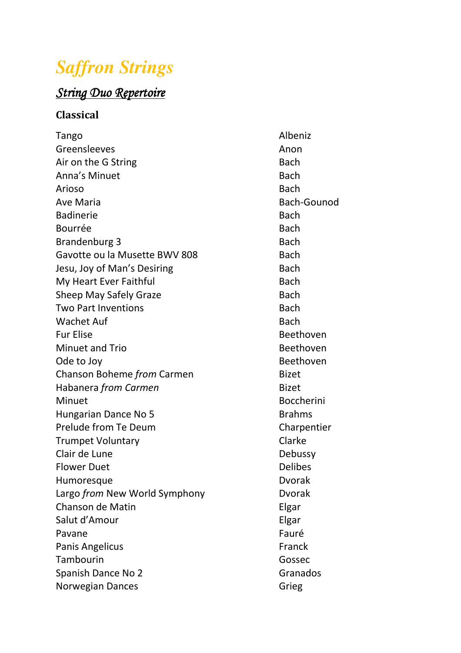## *Saffron Strings*

## $String$  Duo Repertoire

## **Classical**

| Tango                         | Albeniz           |
|-------------------------------|-------------------|
| Greensleeves                  | Anon              |
| Air on the G String           | <b>Bach</b>       |
| Anna's Minuet                 | <b>Bach</b>       |
| Arioso                        | <b>Bach</b>       |
| <b>Ave Maria</b>              | Bach-Gounod       |
| <b>Badinerie</b>              | <b>Bach</b>       |
| Bourrée                       | <b>Bach</b>       |
| Brandenburg 3                 | <b>Bach</b>       |
| Gavotte ou la Musette BWV 808 | <b>Bach</b>       |
| Jesu, Joy of Man's Desiring   | <b>Bach</b>       |
| My Heart Ever Faithful        | <b>Bach</b>       |
| <b>Sheep May Safely Graze</b> | <b>Bach</b>       |
| <b>Two Part Inventions</b>    | <b>Bach</b>       |
| <b>Wachet Auf</b>             | <b>Bach</b>       |
| <b>Fur Elise</b>              | Beethoven         |
| Minuet and Trio               | Beethoven         |
| Ode to Joy                    | Beethoven         |
| Chanson Boheme from Carmen    | <b>Bizet</b>      |
| Habanera from Carmen          | <b>Bizet</b>      |
| Minuet                        | <b>Boccherini</b> |
| Hungarian Dance No 5          | <b>Brahms</b>     |
| Prelude from Te Deum          | Charpentier       |
| <b>Trumpet Voluntary</b>      | Clarke            |
| Clair de Lune                 | Debussy           |
| <b>Flower Duet</b>            | <b>Delibes</b>    |
| Humoresque                    | <b>Dvorak</b>     |
| Largo from New World Symphony | <b>Dvorak</b>     |
| Chanson de Matin              | Elgar             |
| Salut d'Amour                 | Elgar             |
| Pavane                        | Fauré             |
| Panis Angelicus               | Franck            |
| Tambourin                     | Gossec            |
| Spanish Dance No 2            | Granados          |
| Norwegian Dances              | Grieg             |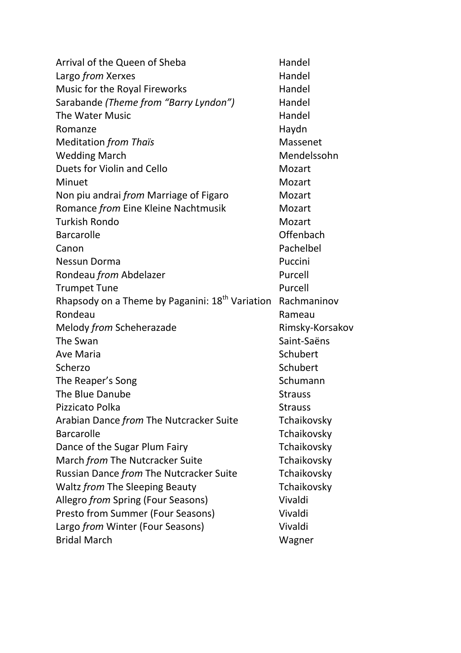| Arrival of the Queen of Sheba                               | Handel          |
|-------------------------------------------------------------|-----------------|
| Largo from Xerxes                                           | Handel          |
| Music for the Royal Fireworks                               | Handel          |
| Sarabande (Theme from "Barry Lyndon")                       | Handel          |
| The Water Music                                             | Handel          |
| Romanze                                                     | Haydn           |
| <b>Meditation from Thaïs</b>                                | Massenet        |
| <b>Wedding March</b>                                        | Mendelssohn     |
| Duets for Violin and Cello                                  | Mozart          |
| Minuet                                                      | Mozart          |
| Non piu andrai <i>from</i> Marriage of Figaro               | Mozart          |
| Romance from Eine Kleine Nachtmusik                         | Mozart          |
| <b>Turkish Rondo</b>                                        | Mozart          |
| <b>Barcarolle</b>                                           | Offenbach       |
| Canon                                                       | Pachelbel       |
| Nessun Dorma                                                | Puccini         |
| Rondeau from Abdelazer                                      | Purcell         |
| <b>Trumpet Tune</b>                                         | Purcell         |
| Rhapsody on a Theme by Paganini: 18 <sup>th</sup> Variation | Rachmaninov     |
| Rondeau                                                     | Rameau          |
| Melody from Scheherazade                                    | Rimsky-Korsakov |
| The Swan                                                    | Saint-Saëns     |
| <b>Ave Maria</b>                                            | Schubert        |
| Scherzo                                                     | Schubert        |
| The Reaper's Song                                           | Schumann        |
| The Blue Danube                                             | <b>Strauss</b>  |
| Pizzicato Polka                                             | <b>Strauss</b>  |
| Arabian Dance from The Nutcracker Suite                     | Tchaikovsky     |
| <b>Barcarolle</b>                                           | Tchaikovsky     |
| Dance of the Sugar Plum Fairy                               | Tchaikovsky     |
| March from The Nutcracker Suite                             | Tchaikovsky     |
| Russian Dance from The Nutcracker Suite                     | Tchaikovsky     |
| Waltz from The Sleeping Beauty                              | Tchaikovsky     |
| Allegro from Spring (Four Seasons)                          | Vivaldi         |
| Presto from Summer (Four Seasons)                           | Vivaldi         |
| Largo from Winter (Four Seasons)                            | Vivaldi         |
| <b>Bridal March</b>                                         | Wagner          |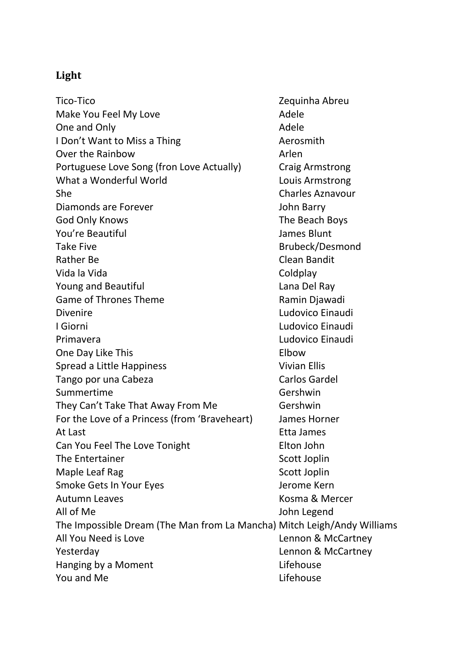## **Light**

Tico-Tico Zequinha Abreu Make You Feel My Love **Adele** Adele One and Only **Adele** Adele **Adele** I Don't Want to Miss a Thing Manuel Controllery Aerosmith Over the Rainbow **Arlen** Portuguese Love Song (fron Love Actually) Craig Armstrong What a Wonderful World **Louis Armstrong** She Charles Aznavour Diamonds are Forever **Container Strutter and Strutter Container** John Barry God Only Knows The Beach Boys You're Beautiful James Blunt Take Five **Brubeck/Desmond** Rather Be Clean Bandit Vida la Vida de Coldplay Young and Beautiful **Lana Del Ray** Game of Thrones Theme **Ramin Diawadi** Divenire **Ludovico Einaudi** I Giorni **Ludovico Einaudi** Primavera **Ludovico Einaudi** One Day Like This **Elbow** Spread a Little Happiness Vivian Ellis Tango por una Cabeza Carlos Gardel Summertime Gershwin They Can't Take That Away From Me Gershwin For the Love of a Princess (from 'Braveheart) James Horner At Last **Etha James** Can You Feel The Love Tonight **Elton John** The Entertainer Scott Joplin Maple Leaf Rag Scott Joplin Smoke Gets In Your Eyes **Smoke Case Accompany** Jerome Kern Autumn Leaves **Kosma & Mercer** All of Me John Legend The Impossible Dream (The Man from La Mancha) Mitch Leigh/Andy Williams All You Need is Love **Lennon & McCartney** Yesterday Lennon & McCartney Hanging by a Moment **Lifehouse** You and Me **Lifehouse**